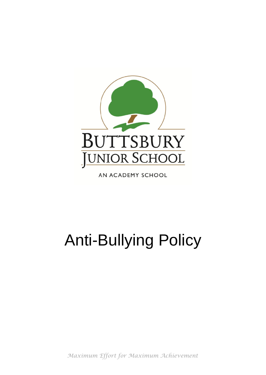

AN ACADEMY SCHOOL

# Anti-Bullying Policy

*Maximum Effort for Maximum Achievement*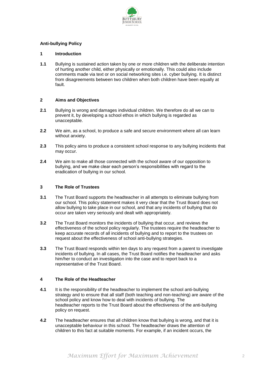

## **Anti-bullying Policy**

#### **1 Introduction**

**1.1** Bullying is sustained action taken by one or more children with the deliberate intention of hurting another child, either physically or emotionally. This could also include comments made via text or on social networking sites i.e. cyber bullying. It is distinct from disagreements between two children when both children have been equally at fault.

#### **2 Aims and Objectives**

- **2.1** Bullying is wrong and damages individual children. We therefore do all we can to prevent it, by developing a school ethos in which bullying is regarded as unacceptable.
- **2.2** We aim, as a school, to produce a safe and secure environment where all can learn without anxiety.
- **2.3** This policy aims to produce a consistent school response to any bullying incidents that may occur.
- **2.4** We aim to make all those connected with the school aware of our opposition to bullying, and we make clear each person's responsibilities with regard to the eradication of bullying in our school.

#### **3 The Role of Trustees**

- **3.1** The Trust Board supports the headteacher in all attempts to eliminate bullying from our school. This policy statement makes it very clear that the Trust Board does not allow bullying to take place in our school, and that any incidents of bullying that do occur are taken very seriously and dealt with appropriately.
- **3.2** The Trust Board monitors the incidents of bullying that occur, and reviews the effectiveness of the school policy regularly. The trustees require the headteacher to keep accurate records of all incidents of bullying and to report to the trustees on request about the effectiveness of school anti-bullying strategies.
- **3.3** The Trust Board responds within ten days to any request from a parent to investigate incidents of bullying. In all cases, the Trust Board notifies the headteacher and asks him/her to conduct an investigation into the case and to report back to a representative of the Trust Board.

### **4 The Role of the Headteacher**

- **4.1** It is the responsibility of the headteacher to implement the school anti-bullying strategy and to ensure that all staff (both teaching and non-teaching) are aware of the school policy and know how to deal with incidents of bullying. The headteacher reports to the Trust Board about the effectiveness of the anti-bullying policy on request.
- **4.2** The headteacher ensures that all children know that bullying is wrong, and that it is unacceptable behaviour in this school. The headteacher draws the attention of children to this fact at suitable moments. For example, if an incident occurs, the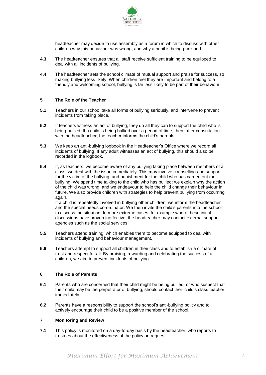

headteacher may decide to use assembly as a forum in which to discuss with other children why this behaviour was wrong, and why a pupil is being punished.

- **4.3** The headteacher ensures that all staff receive sufficient training to be equipped to deal with all incidents of bullying.
- **4.4** The headteacher sets the school climate of mutual support and praise for success, so making bullying less likely. When children feel they are important and belong to a friendly and welcoming school, bullying is far less likely to be part of their behaviour.

## **5 The Role of the Teacher**

- **5.1** Teachers in our school take all forms of bullying seriously, and intervene to prevent incidents from taking place.
- **5.2** If teachers witness an act of bullying, they do all they can to support the child who is being bullied. If a child is being bullied over a period of time, then, after consultation with the headteacher, the teacher informs the child's parents.
- **5.3** We keep an anti-bullying logbook in the Headteacher's Office where we record all incidents of bullying. If any adult witnesses an act of bullying, this should also be recorded in the logbook.
- **5.4** If, as teachers, we become aware of any bullying taking place between members of a class, we deal with the issue immediately. This may involve counselling and support for the victim of the bullying, and punishment for the child who has carried out the bullying. We spend time talking to the child who has bullied: we explain why the action of the child was wrong, and we endeavour to help the child change their behaviour in future. We also provide children with strategies to help prevent bullying from occurring again.

If a child is repeatedly involved in bullying other children, we inform the headteacher and the special needs co-ordinator. We then invite the child's parents into the school to discuss the situation. In more extreme cases, for example where these initial discussions have proven ineffective, the headteacher may contact external support agencies such as the social services.

- **5.5** Teachers attend training, which enables them to become equipped to deal with incidents of bullying and behaviour management.
- **5.6** Teachers attempt to support all children in their class and to establish a climate of trust and respect for all. By praising, rewarding and celebrating the success of all children, we aim to prevent incidents of bullying.

#### **6 The Role of Parents**

- **6.1** Parents who are concerned that their child might be being bullied, or who suspect that their child may be the perpetrator of bullying, should contact their child's class teacher immediately.
- **6.2** Parents have a responsibility to support the school's anti-bullying policy and to actively encourage their child to be a positive member of the school.

#### **7 Monitoring and Review**

**7.1** This policy is monitored on a day-to-day basis by the headteacher, who reports to trustees about the effectiveness of the policy on request.